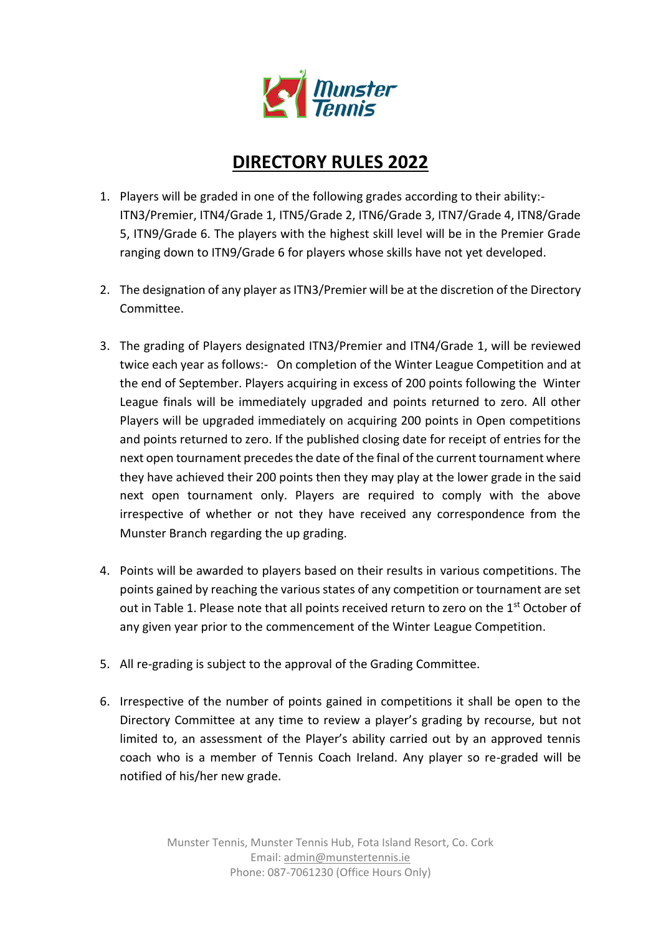

# **DIRECTORY RULES 2022**

- 1. Players will be graded in one of the following grades according to their ability:- ITN3/Premier, ITN4/Grade 1, ITN5/Grade 2, ITN6/Grade 3, ITN7/Grade 4, ITN8/Grade 5, ITN9/Grade 6. The players with the highest skill level will be in the Premier Grade ranging down to ITN9/Grade 6 for players whose skills have not yet developed.
- 2. The designation of any player as ITN3/Premier will be at the discretion of the Directory Committee.
- 3. The grading of Players designated ITN3/Premier and ITN4/Grade 1, will be reviewed twice each year as follows:- On completion of the Winter League Competition and at the end of September. Players acquiring in excess of 200 points following the Winter League finals will be immediately upgraded and points returned to zero. All other Players will be upgraded immediately on acquiring 200 points in Open competitions and points returned to zero. If the published closing date for receipt of entries for the next open tournament precedes the date of the final of the current tournament where they have achieved their 200 points then they may play at the lower grade in the said next open tournament only. Players are required to comply with the above irrespective of whether or not they have received any correspondence from the Munster Branch regarding the up grading.
- 4. Points will be awarded to players based on their results in various competitions. The points gained by reaching the various states of any competition or tournament are set out in Table 1. Please note that all points received return to zero on the 1<sup>st</sup> October of any given year prior to the commencement of the Winter League Competition.
- 5. All re-grading is subject to the approval of the Grading Committee.
- 6. Irrespective of the number of points gained in competitions it shall be open to the Directory Committee at any time to review a player's grading by recourse, but not limited to, an assessment of the Player's ability carried out by an approved tennis coach who is a member of Tennis Coach Ireland. Any player so re-graded will be notified of his/her new grade.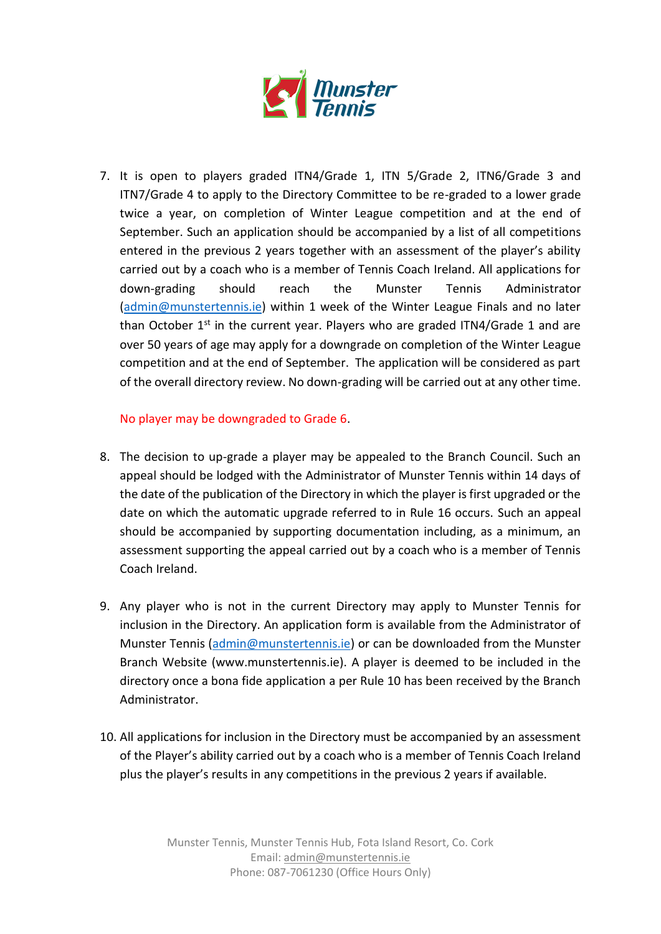

7. It is open to players graded ITN4/Grade 1, ITN 5/Grade 2, ITN6/Grade 3 and ITN7/Grade 4 to apply to the Directory Committee to be re-graded to a lower grade twice a year, on completion of Winter League competition and at the end of September. Such an application should be accompanied by a list of all competitions entered in the previous 2 years together with an assessment of the player's ability carried out by a coach who is a member of Tennis Coach Ireland. All applications for down-grading should reach the Munster Tennis Administrator [\(admin@munstertennis.ie\)](mailto:admin@munstertennis.ie) within 1 week of the Winter League Finals and no later than October  $1^{st}$  in the current year. Players who are graded ITN4/Grade 1 and are over 50 years of age may apply for a downgrade on completion of the Winter League competition and at the end of September. The application will be considered as part of the overall directory review. No down-grading will be carried out at any other time.

No player may be downgraded to Grade 6.

- 8. The decision to up-grade a player may be appealed to the Branch Council. Such an appeal should be lodged with the Administrator of Munster Tennis within 14 days of the date of the publication of the Directory in which the player is first upgraded or the date on which the automatic upgrade referred to in Rule 16 occurs. Such an appeal should be accompanied by supporting documentation including, as a minimum, an assessment supporting the appeal carried out by a coach who is a member of Tennis Coach Ireland.
- 9. Any player who is not in the current Directory may apply to Munster Tennis for inclusion in the Directory. An application form is available from the Administrator of Munster Tennis [\(admin@munstertennis.ie\)](mailto:admin@munstertennis.ie) or can be downloaded from the Munster Branch Website (www.munstertennis.ie). A player is deemed to be included in the directory once a bona fide application a per Rule 10 has been received by the Branch Administrator.
- 10. All applications for inclusion in the Directory must be accompanied by an assessment of the Player's ability carried out by a coach who is a member of Tennis Coach Ireland plus the player's results in any competitions in the previous 2 years if available.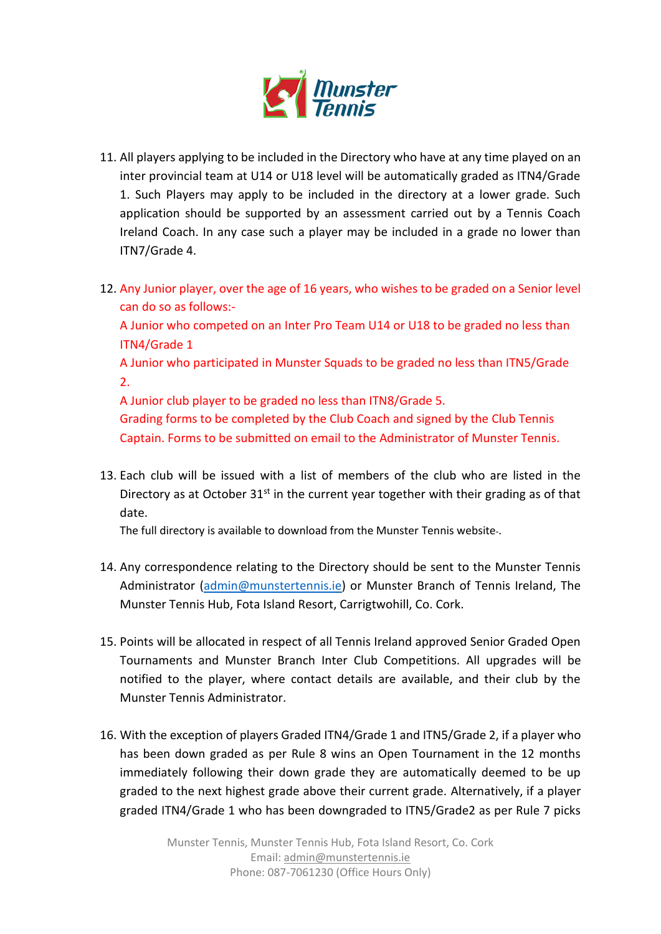

- 11. All players applying to be included in the Directory who have at any time played on an inter provincial team at U14 or U18 level will be automatically graded as ITN4/Grade 1. Such Players may apply to be included in the directory at a lower grade. Such application should be supported by an assessment carried out by a Tennis Coach Ireland Coach. In any case such a player may be included in a grade no lower than ITN7/Grade 4.
- 12. Any Junior player, over the age of 16 years, who wishes to be graded on a Senior level can do so as follows:-

A Junior who competed on an Inter Pro Team U14 or U18 to be graded no less than ITN4/Grade 1

A Junior who participated in Munster Squads to be graded no less than ITN5/Grade 2.

A Junior club player to be graded no less than ITN8/Grade 5.

Grading forms to be completed by the Club Coach and signed by the Club Tennis Captain. Forms to be submitted on email to the Administrator of Munster Tennis.

13. Each club will be issued with a list of members of the club who are listed in the Directory as at October  $31<sup>st</sup>$  in the current year together with their grading as of that date.

The full directory is available to download from the Munster Tennis website .

- 14. Any correspondence relating to the Directory should be sent to the Munster Tennis Administrator [\(admin@munstertennis.ie\)](mailto:admin@munstertennis.ie) or Munster Branch of Tennis Ireland, The Munster Tennis Hub, Fota Island Resort, Carrigtwohill, Co. Cork.
- 15. Points will be allocated in respect of all Tennis Ireland approved Senior Graded Open Tournaments and Munster Branch Inter Club Competitions. All upgrades will be notified to the player, where contact details are available, and their club by the Munster Tennis Administrator.
- 16. With the exception of players Graded ITN4/Grade 1 and ITN5/Grade 2, if a player who has been down graded as per Rule 8 wins an Open Tournament in the 12 months immediately following their down grade they are automatically deemed to be up graded to the next highest grade above their current grade. Alternatively, if a player graded ITN4/Grade 1 who has been downgraded to ITN5/Grade2 as per Rule 7 picks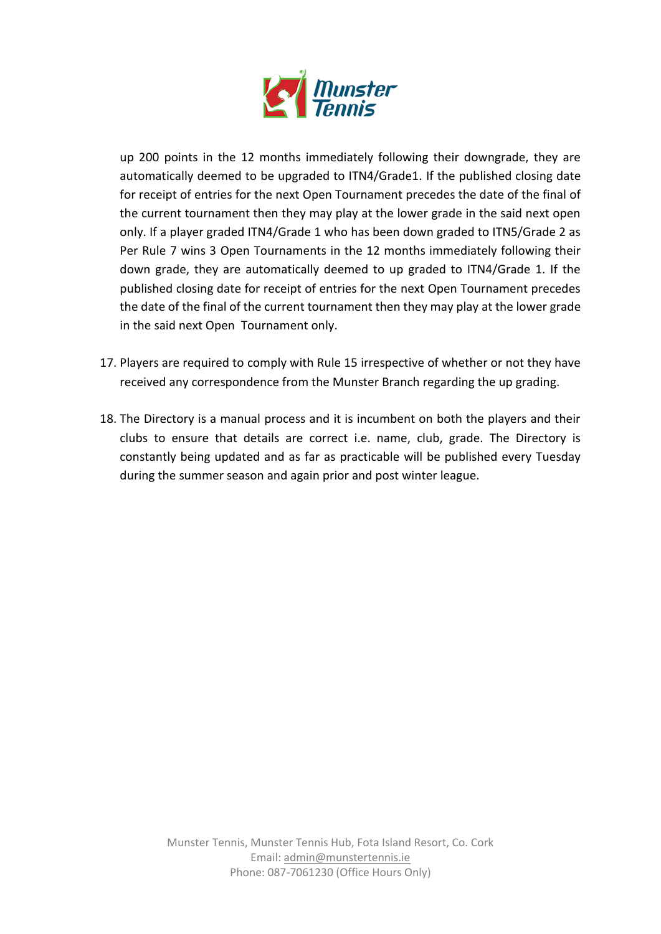

up 200 points in the 12 months immediately following their downgrade, they are automatically deemed to be upgraded to ITN4/Grade1. If the published closing date for receipt of entries for the next Open Tournament precedes the date of the final of the current tournament then they may play at the lower grade in the said next open only. If a player graded ITN4/Grade 1 who has been down graded to ITN5/Grade 2 as Per Rule 7 wins 3 Open Tournaments in the 12 months immediately following their down grade, they are automatically deemed to up graded to ITN4/Grade 1. If the published closing date for receipt of entries for the next Open Tournament precedes the date of the final of the current tournament then they may play at the lower grade in the said next Open Tournament only.

- 17. Players are required to comply with Rule 15 irrespective of whether or not they have received any correspondence from the Munster Branch regarding the up grading.
- 18. The Directory is a manual process and it is incumbent on both the players and their clubs to ensure that details are correct i.e. name, club, grade. The Directory is constantly being updated and as far as practicable will be published every Tuesday during the summer season and again prior and post winter league.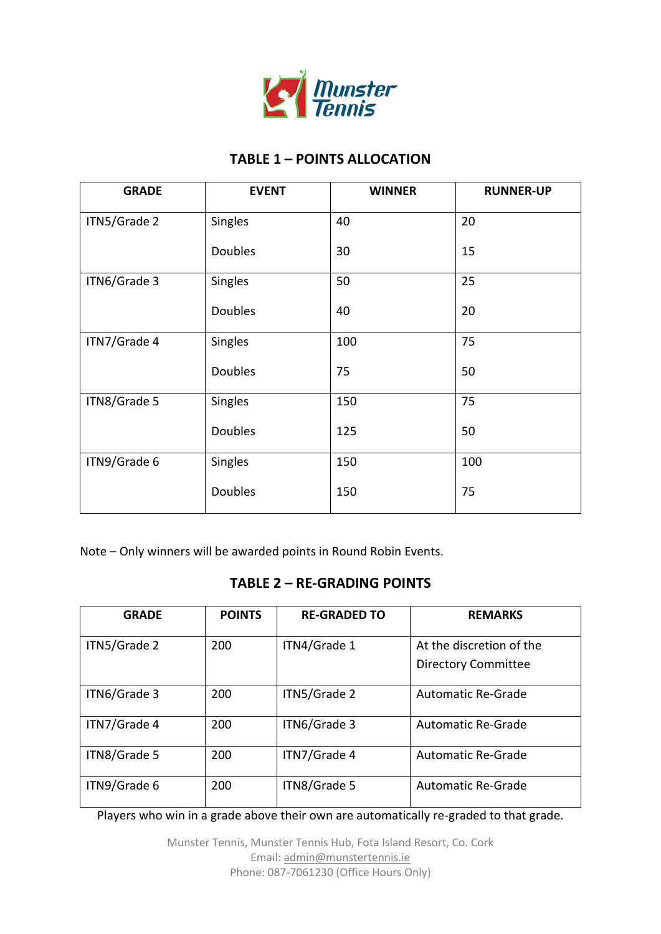

## **TABLE 1 – POINTS ALLOCATION**

| <b>GRADE</b> | <b>EVENT</b>   | <b>WINNER</b> | <b>RUNNER-UP</b> |
|--------------|----------------|---------------|------------------|
| ITN5/Grade 2 | Singles        | 40            | 20               |
|              | <b>Doubles</b> | 30            | 15               |
| ITN6/Grade 3 | Singles        | 50            | 25               |
|              | <b>Doubles</b> | 40            | 20               |
| ITN7/Grade 4 | Singles        | 100           | 75               |
|              | Doubles        | 75            | 50               |
| ITN8/Grade 5 | Singles        | 150           | 75               |
|              | Doubles        | 125           | 50               |
| ITN9/Grade 6 | Singles        | 150           | 100              |
|              | <b>Doubles</b> | 150           | 75               |

Note – Only winners will be awarded points in Round Robin Events.

## **TABLE 2 – RE-GRADING POINTS**

| <b>GRADE</b> | <b>POINTS</b> | <b>RE-GRADED TO</b> | <b>REMARKS</b>             |
|--------------|---------------|---------------------|----------------------------|
| ITN5/Grade 2 | 200           | ITN4/Grade 1        | At the discretion of the   |
|              |               |                     | <b>Directory Committee</b> |
| ITN6/Grade 3 | 200           | ITN5/Grade 2        | <b>Automatic Re-Grade</b>  |
| ITN7/Grade 4 | 200           | ITN6/Grade 3        | <b>Automatic Re-Grade</b>  |
| ITN8/Grade 5 | 200           | ITN7/Grade 4        | <b>Automatic Re-Grade</b>  |
| ITN9/Grade 6 | 200           | ITN8/Grade 5        | <b>Automatic Re-Grade</b>  |

Players who win in a grade above their own are automatically re-graded to that grade.

Munster Tennis, Munster Tennis Hub, Fota Island Resort, Co. Cork Email[: admin@munstertennis.ie](mailto:admin@munstertennis.ie) Phone: 087-7061230 (Office Hours Only)